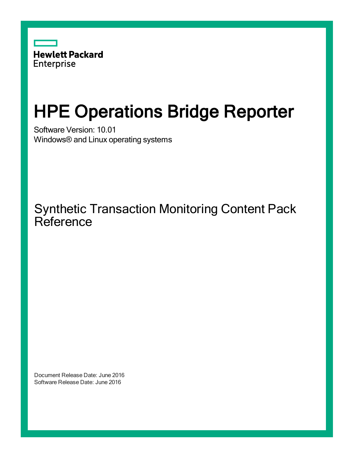

# HPE Operations Bridge Reporter

Software Version: 10.01 Windows® and Linux operating systems

Synthetic Transaction Monitoring Content Pack **Reference** 

Document Release Date: June 2016 Software Release Date: June 2016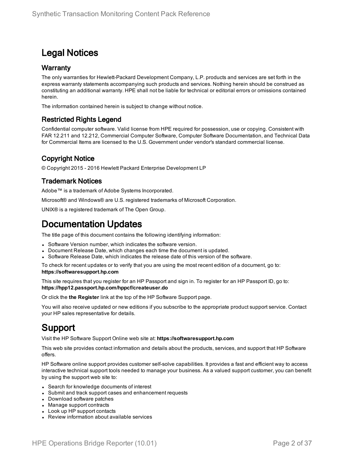### Legal Notices

#### **Warranty**

The only warranties for Hewlett-Packard Development Company, L.P. products and services are set forth in the express warranty statements accompanying such products and services. Nothing herein should be construed as constituting an additional warranty. HPE shall not be liable for technical or editorial errors or omissions contained herein.

The information contained herein is subject to change without notice.

#### Restricted Rights Legend

Confidential computer software. Valid license from HPE required for possession, use or copying. Consistent with FAR 12.211 and 12.212, Commercial Computer Software, Computer Software Documentation, and Technical Data for Commercial Items are licensed to the U.S. Government under vendor's standard commercial license.

### Copyright Notice

© Copyright 2015 - 2016 Hewlett Packard Enterprise Development LP

#### Trademark Notices

Adobe™ is a trademark of Adobe Systems Incorporated.

Microsoft® and Windows® are U.S. registered trademarks of Microsoft Corporation.

UNIX® is a registered trademark of The Open Group.

### Documentation Updates

The title page of this document contains the following identifying information:

- Software Version number, which indicates the software version.
- Document Release Date, which changes each time the document is updated.
- Software Release Date, which indicates the release date of this version of the software.

To check for recent updates or to verify that you are using the most recent edition of a document, go to: **https://softwaresupport.hp.com**

This site requires that you register for an HP Passport and sign in. To register for an HP Passport ID, go to: **https://hpp12.passport.hp.com/hppcf/createuser.do**

Or click the **the Register** link at the top of the HP Software Support page.

You will also receive updated or new editions if you subscribe to the appropriate product support service. Contact your HP sales representative for details.

### Support

Visit the HP Software Support Online web site at: **https://softwaresupport.hp.com**

This web site provides contact information and details about the products, services, and support that HP Software offers.

HP Software online support provides customer self-solve capabilities. It provides a fast and efficient way to access interactive technical support tools needed to manage your business. As a valued support customer, you can benefit by using the support web site to:

- Search for knowledge documents of interest
- Submit and track support cases and enhancement requests
- Download software patches
- Manage support contracts
- Look up HP support contacts
- Review information about available services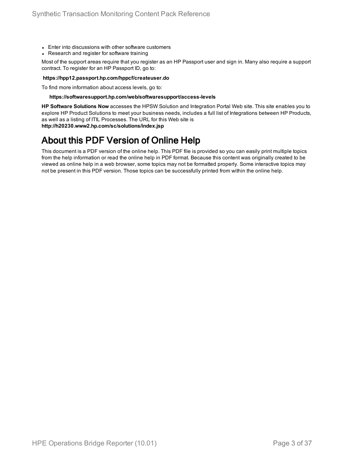- Enter into discussions with other software customers
- Research and register for software training

Most of the support areas require that you register as an HP Passport user and sign in. Many also require a support contract. To register for an HP Passport ID, go to:

#### **https://hpp12.passport.hp.com/hppcf/createuser.do**

To find more information about access levels, go to:

#### **https://softwaresupport.hp.com/web/softwaresupport/access-levels**

**HP Software Solutions Now** accesses the HPSW Solution and Integration Portal Web site. This site enables you to explore HP Product Solutions to meet your business needs, includes a full list of Integrations between HP Products, as well as a listing of ITIL Processes. The URL for this Web site is **http://h20230.www2.hp.com/sc/solutions/index.jsp**

### About this PDF Version of Online Help

This document is a PDF version of the online help. This PDF file is provided so you can easily print multiple topics from the help information or read the online help in PDF format. Because this content was originally created to be viewed as online help in a web browser, some topics may not be formatted properly. Some interactive topics may not be present in this PDF version. Those topics can be successfully printed from within the online help.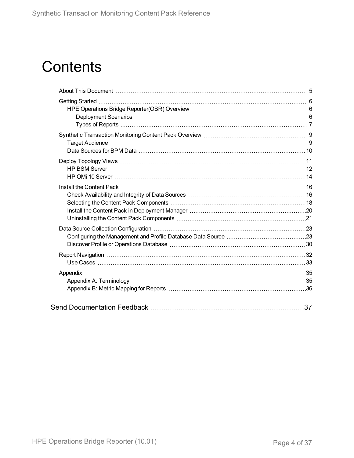# **Contents**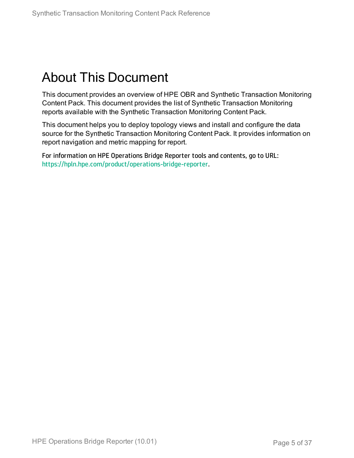## <span id="page-4-0"></span>About This Document

This document provides an overview of HPE OBR and Synthetic Transaction Monitoring Content Pack. This document provides the list of Synthetic Transaction Monitoring reports available with the Synthetic Transaction Monitoring Content Pack.

This document helps you to deploy topology views and install and configure the data source for the Synthetic Transaction Monitoring Content Pack. It provides information on report navigation and metric mapping for report.

For information on HPE Operations Bridge Reporter tools and contents, go to URL: <https://hpln.hpe.com/product/operations-bridge-reporter>.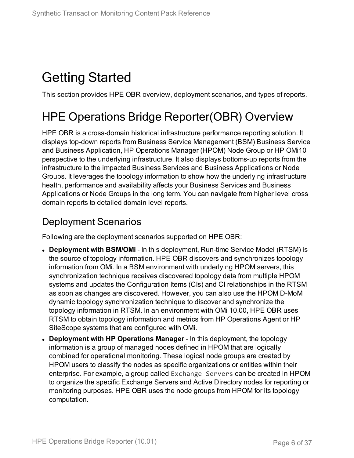## <span id="page-5-0"></span>Getting Started

<span id="page-5-1"></span>This section provides HPE OBR overview, deployment scenarios, and types of reports.

## HPE Operations Bridge Reporter(OBR) Overview

HPE OBR is a cross-domain historical infrastructure performance reporting solution. It displays top-down reports from Business Service Management (BSM) Business Service and Business Application, HP Operations Manager (HPOM) Node Group or HP OMi10 perspective to the underlying infrastructure. It also displays bottoms-up reports from the infrastructure to the impacted Business Services and Business Applications or Node Groups. It leverages the topology information to show how the underlying infrastructure health, performance and availability affects your Business Services and Business Applications or Node Groups in the long term. You can navigate from higher level cross domain reports to detailed domain level reports.

### <span id="page-5-2"></span>Deployment Scenarios

Following are the deployment scenarios supported on HPE OBR:

- **Deployment with BSM/OMi** In this deployment, Run-time Service Model (RTSM) is the source of topology information. HPE OBR discovers and synchronizes topology information from OMi. In a BSM environment with underlying HPOM servers, this synchronization technique receives discovered topology data from multiple HPOM systems and updates the Configuration Items (CIs) and CI relationships in the RTSM as soon as changes are discovered. However, you can also use the HPOM D-MoM dynamic topology synchronization technique to discover and synchronize the topology information in RTSM. In an environment with OMi 10.00, HPE OBR uses RTSM to obtain topology information and metrics from HP Operations Agent or HP SiteScope systems that are configured with OMi.
- <sup>l</sup> **Deployment with HP Operations Manager** In this deployment, the topology information is a group of managed nodes defined in HPOM that are logically combined for operational monitoring. These logical node groups are created by HPOM users to classify the nodes as specific organizations or entities within their enterprise. For example, a group called Exchange Servers can be created in HPOM to organize the specific Exchange Servers and Active Directory nodes for reporting or monitoring purposes. HPE OBR uses the node groups from HPOM for its topology computation.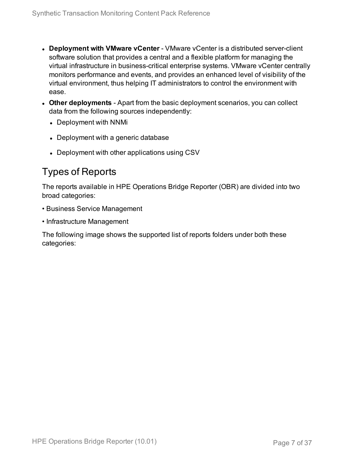- **.** Deployment with VMware vCenter VMware vCenter is a distributed server-client software solution that provides a central and a flexible platform for managing the virtual infrastructure in business-critical enterprise systems. VMware vCenter centrally monitors performance and events, and provides an enhanced level of visibility of the virtual environment, thus helping IT administrators to control the environment with ease.
- **Other deployments** Apart from the basic deployment scenarios, you can collect data from the following sources independently:
	- Deployment with NNMi
	- Deployment with a generic database
	- Deployment with other applications using CSV

### <span id="page-6-0"></span>Types of Reports

The reports available in HPE Operations Bridge Reporter (OBR) are divided into two broad categories:

- Business Service Management
- Infrastructure Management

The following image shows the supported list of reports folders under both these categories: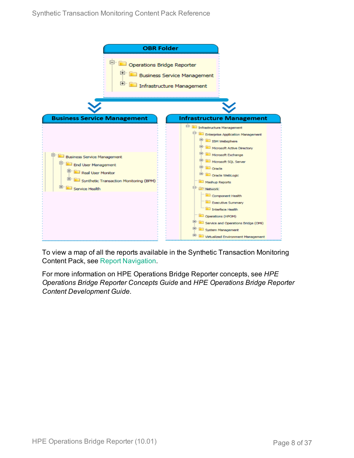

To view a map of all the reports available in the Synthetic Transaction Monitoring Content Pack, see Report [Navigation](#page-31-0).

For more information on HPE Operations Bridge Reporter concepts, see *HPE Operations Bridge Reporter Concepts Guide* and *HPE Operations Bridge Reporter Content Development Guide*.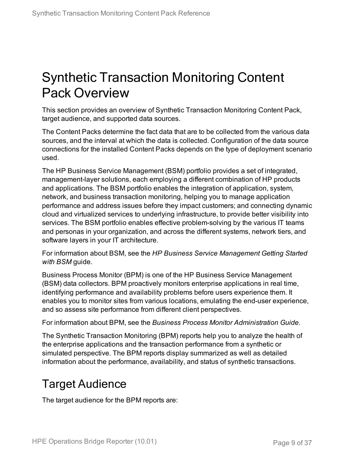## <span id="page-8-0"></span>Synthetic Transaction Monitoring Content Pack Overview

This section provides an overview of Synthetic Transaction Monitoring Content Pack, target audience, and supported data sources.

The Content Packs determine the fact data that are to be collected from the various data sources, and the interval at which the data is collected. Configuration of the data source connections for the installed Content Packs depends on the type of deployment scenario used.

The HP Business Service Management (BSM) portfolio provides a set of integrated, management-layer solutions, each employing a different combination of HP products and applications. The BSM portfolio enables the integration of application, system, network, and business transaction monitoring, helping you to manage application performance and address issues before they impact customers; and connecting dynamic cloud and virtualized services to underlying infrastructure, to provide better visibility into services. The BSM portfolio enables effective problem-solving by the various IT teams and personas in your organization, and across the different systems, network tiers, and software layers in your IT architecture.

For information about BSM, see the *HP Business Service Management Getting Started with BSM* guide.

Business Process Monitor (BPM) is one of the HP Business Service Management (BSM) data collectors. BPM proactively monitors enterprise applications in real time, identifying performance and availability problems before users experience them. It enables you to monitor sites from various locations, emulating the end-user experience, and so assess site performance from different client perspectives.

For information about BPM, see the *Business Process Monitor Administration Guide*.

The Synthetic Transaction Monitoring (BPM) reports help you to analyze the health of the enterprise applications and the transaction performance from a synthetic or simulated perspective. The BPM reports display summarized as well as detailed information about the performance, availability, and status of synthetic transactions.

## <span id="page-8-1"></span>Target Audience

The target audience for the BPM reports are: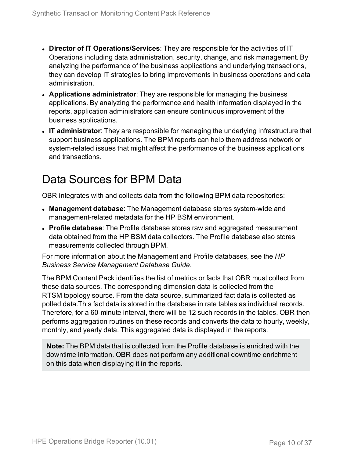- **.** Director of IT Operations/Services: They are responsible for the activities of IT Operations including data administration, security, change, and risk management. By analyzing the performance of the business applications and underlying transactions, they can develop IT strategies to bring improvements in business operations and data administration.
- **Applications administrator**: They are responsible for managing the business applications. By analyzing the performance and health information displayed in the reports, application administrators can ensure continuous improvement of the business applications.
- IT **administrator**: They are responsible for managing the underlying infrastructure that support business applications. The BPM reports can help them address network or system-related issues that might affect the performance of the business applications and transactions.

## <span id="page-9-0"></span>Data Sources for BPM Data

OBR integrates with and collects data from the following BPM data repositories:

- **Management database**: The Management database stores system-wide and management-related metadata for the HP BSM environment.
- **Profile database**: The Profile database stores raw and aggregated measurement data obtained from the HP BSM data collectors. The Profile database also stores measurements collected through BPM.

For more information about the Management and Profile databases, see the *HP Business Service Management Database Guide*.

The BPM Content Pack identifies the list of metrics or facts that OBR must collect from these data sources. The corresponding dimension data is collected from the RTSM topology source. From the data source, summarized fact data is collected as polled data.This fact data is stored in the database in rate tables as individual records. Therefore, for a 60-minute interval, there will be 12 such records in the tables. OBR then performs aggregation routines on these records and converts the data to hourly, weekly, monthly, and yearly data. This aggregated data is displayed in the reports.

**Note:** The BPM data that is collected from the Profile database is enriched with the downtime information. OBR does not perform any additional downtime enrichment on this data when displaying it in the reports.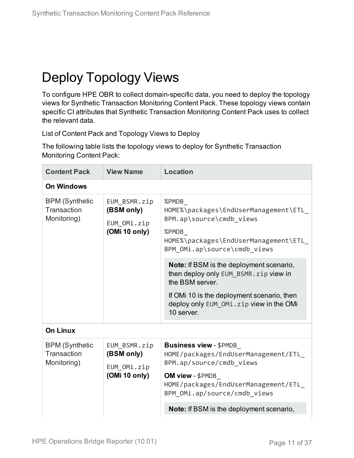## <span id="page-10-0"></span>Deploy Topology Views

To configure HPE OBR to collect domain-specific data, you need to deploy the topology views for Synthetic Transaction Monitoring Content Pack. These topology views contain specific CI attributes that Synthetic Transaction Monitoring Content Pack uses to collect the relevant data.

<span id="page-10-1"></span>List of Content Pack and Topology Views to Deploy

The following table lists the topology views to deploy for Synthetic Transaction Monitoring Content Pack:

| <b>Content Pack</b>                                 | <b>View Name</b>                                           | <b>Location</b>                                                                                                                                                                                                                                                                                                                                                                  |
|-----------------------------------------------------|------------------------------------------------------------|----------------------------------------------------------------------------------------------------------------------------------------------------------------------------------------------------------------------------------------------------------------------------------------------------------------------------------------------------------------------------------|
| <b>On Windows</b>                                   |                                                            |                                                                                                                                                                                                                                                                                                                                                                                  |
| <b>BPM (Synthetic</b><br>Transaction<br>Monitoring) | EUM BSMR.zip<br>(BSM only)<br>EUM OMi.zip<br>(OMi 10 only) | %PMDB<br>HOME%\packages\EndUserManagement\ETL<br>BPM.ap\source\cmdb views<br>%PMDB<br>HOME%\packages\EndUserManagement\ETL<br>BPM OMi.ap\source\cmdb views<br><b>Note:</b> If BSM is the deployment scenario,<br>then deploy only EUM_BSMR.zip view in<br>the BSM server.<br>If OMI 10 is the deployment scenario, then<br>deploy only EUM OMi.zip view in the OMi<br>10 server. |
| <b>On Linux</b>                                     |                                                            |                                                                                                                                                                                                                                                                                                                                                                                  |
| <b>BPM (Synthetic</b><br>Transaction<br>Monitoring) | EUM BSMR.zip<br>(BSM only)<br>EUM OMi.zip<br>(OMi 10 only) | <b>Business view - \$PMDB_</b><br>HOME/packages/EndUserManagement/ETL_<br>BPM.ap/source/cmdb views<br>OM view - \$PMDB<br>HOME/packages/EndUserManagement/ETL<br>BPM OMi.ap/source/cmdb views                                                                                                                                                                                    |
|                                                     |                                                            | <b>Note:</b> If BSM is the deployment scenario,                                                                                                                                                                                                                                                                                                                                  |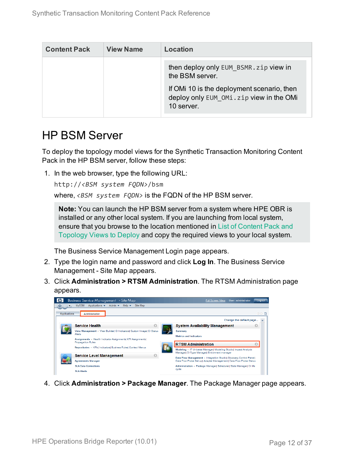| <b>Content Pack</b> | <b>View Name</b> | Location                                                                                                                                                        |
|---------------------|------------------|-----------------------------------------------------------------------------------------------------------------------------------------------------------------|
|                     |                  | then deploy only EUM BSMR. zip view in<br>the BSM server.<br>If OM 10 is the deployment scenario, then<br>deploy only EUM OMi.zip view in the OMi<br>10 server. |

### <span id="page-11-0"></span>HP BSM Server

To deploy the topology model views for the Synthetic Transaction Monitoring Content Pack in the HP BSM server, follow these steps:

1. In the web browser, type the following URL:

```
http://<BSM system FQDN>/bsm
```
where, *<BSM system FQDN>* is the FQDN of the HP BSM server.

**Note:** You can launch the HP BSM server from a system where HPE OBR is installed or any other local system. If you are launching from local system, ensure that you browse to the location mentioned in List of [Content](#page-10-1) Pack and [Topology](#page-10-1) Views to Deploy and copy the required views to your local system.

The Business Service Management Login page appears.

- 2. Type the login name and password and click **Log In**. The Business Service Management - Site Map appears.
- 3. Click **Administration > RTSM Administration**. The RTSM Administration page appears.



4. Click **Administration > Package Manager**. The Package Manager page appears.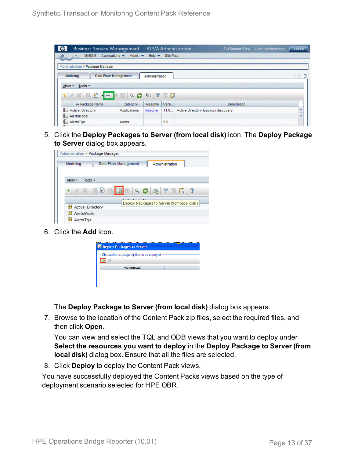| <b>Business Service Management</b> - RTSM Administration |                                                                  |                           |                | Full Screen View                    | User: administrator | Logout   |
|----------------------------------------------------------|------------------------------------------------------------------|---------------------------|----------------|-------------------------------------|---------------------|----------|
| <b>MyBSM</b><br>♦<br>$\circ$                             | Applications $\blacktriangledown$<br>Admin $\blacktriangleright$ | Help $\blacktriangledown$ | Site Map       |                                     |                     |          |
| Administration > Package Manager                         |                                                                  |                           |                |                                     |                     |          |
| Modeling                                                 | <b>Data Flow Management</b>                                      | Administration            |                |                                     |                     | ◇◇■      |
| Tools -<br>View -                                        |                                                                  |                           |                |                                     |                     |          |
| $-454$<br>豣<br>$*$ $\alpha$ $\times$<br>n Kirk           | $Q$ $G$                                                          | Y<br>G                    | <b>SECTION</b> |                                     |                     |          |
|                                                          |                                                                  |                           | Vers           |                                     |                     |          |
| ≐ Package Name                                           | Category                                                         | Readme                    |                | <b>Description</b>                  |                     |          |
| <b>Active Directory</b>                                  | Applications                                                     | Readme                    | 11.0           | Active Directory topology discovery |                     |          |
| <b>A</b> and<br>AlertsModel<br>ь.                        |                                                                  |                           |                |                                     |                     | $\equiv$ |

5. Click the **Deploy Packages to Server (from local disk)** icon. The **Deploy Package to Server** dialog box appears.

| Administration > Package Manager |                      |                                             |
|----------------------------------|----------------------|---------------------------------------------|
| Modeling                         | Data Flow Management | Administration                              |
|                                  |                      |                                             |
| Tools $\sim$<br>View -           |                      |                                             |
| $\alpha \times \alpha$<br>÷      | Q                    | <b>ATER</b>                                 |
|                                  |                      | Deploy Packages to Server (from local disk) |
| Active Directory                 |                      |                                             |
| <b>AlertsModel</b>               |                      |                                             |
| AlertsTals                       |                      |                                             |

6. Click the **Add** icon.

| Deploy Packages to Server                   |  |
|---------------------------------------------|--|
| Choose the package zip files to be deployed |  |
| Package (zip)                               |  |
|                                             |  |
|                                             |  |

The **Deploy Package to Server (from local disk)** dialog box appears.

7. Browse to the location of the Content Pack zip files, select the required files, and then click **Open**.

You can view and select the TQL and ODB views that you want to deploy under **Select the resources you want to deploy** in the **Deploy Package to Server (from local disk)** dialog box. Ensure that all the files are selected.

8. Click **Deploy** to deploy the Content Pack views.

You have successfully deployed the Content Packs views based on the type of deployment scenario selected for HPE OBR.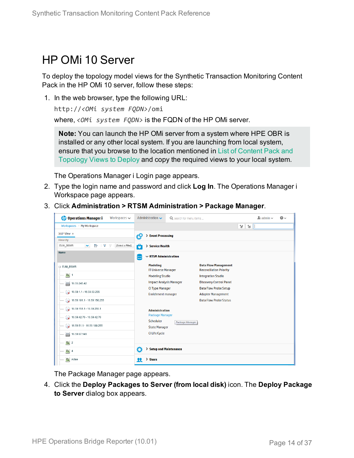### <span id="page-13-0"></span>HP OMi 10 Server

To deploy the topology model views for the Synthetic Transaction Monitoring Content Pack in the HP OMi 10 server, follow these steps:

1. In the web browser, type the following URL:

```
http://<OMi system FQDN>/omi
```
where, *<OMi system FQDN>* is the FQDN of the HP OMi server.

**Note:** You can launch the HP OMi server from a system where HPE OBR is installed or any other local system. If you are launching from local system, ensure that you browse to the location mentioned in List of [Content](#page-10-1) Pack and [Topology](#page-10-1) Views to Deploy and copy the required views to your local system.

The Operations Manager i Login page appears.

- 2. Type the login name and password and click **Log In**. The Operations Manager i Workspace page appears.
- 3. Click **Administration > RTSM Administration > Package Manager**.

| <b>Operations Manager i</b><br>Workspaces $\smile$                            | Administration $\sim$                         | Q search for menu items |                                                               | $\Delta$ admin $\sim$ | $\odot$ |
|-------------------------------------------------------------------------------|-----------------------------------------------|-------------------------|---------------------------------------------------------------|-----------------------|---------|
| Workspaces $>$ My Workspace                                                   |                                               |                         |                                                               | ٦ŧ.<br>V              |         |
| 360° View x                                                                   | t9<br><b>Event Processing</b><br>↘            |                         |                                                               |                       |         |
| Hierarchy                                                                     |                                               |                         |                                                               |                       |         |
| Þ<br>[Select a Filter]<br>EUM_BSMR<br>$\overline{\mathbf{Y}}$<br>$\checkmark$ | > Service Health<br>Ö                         |                         |                                                               |                       |         |
| Name                                                                          | $\sim$ RTSM Administration                    |                         |                                                               |                       |         |
| E EUM_BSMR                                                                    | <b>Modeling</b><br><b>IT Universe Manager</b> |                         | <b>Data Flow Management</b><br><b>Reconciliation Priority</b> |                       |         |
| $\boxed{0}$ 1                                                                 | <b>Modeling Studio</b>                        |                         | <b>Integration Studio</b>                                     |                       |         |
| 16.55.245.42<br>▄                                                             | <b>Impact Analysis Manager</b>                |                         | <b>Discovery Control Panel</b>                                |                       |         |
| $\bigcirc$ 16.59.1.1 - 16.59.50.255                                           | <b>CI Type Manager</b>                        |                         | <b>Data Flow Probe Setup</b>                                  |                       |         |
| $\bigotimes$ 16.59.101.1 - 16.59.150.255                                      | <b>Enrichment manager</b>                     |                         | <b>Adapter Management</b><br><b>Data Flow Probe Status</b>    |                       |         |
| $\bigcirc$ 16.59.151.1 - 16.59.255.1                                          | <b>Administration</b>                         |                         |                                                               |                       |         |
| $\sqrt{16.59.42.70 - 16.59.42.70}$                                            | <b>Package Manager</b><br>Scheduler           |                         |                                                               |                       |         |
| $\bigotimes$ 16.59.51.1 - 16.59.100.255                                       | <b>State Manager</b>                          | Package Manager         |                                                               |                       |         |
| 16.59.67.149<br>$\equiv$                                                      | <b>CI Life Cycle</b>                          |                         |                                                               |                       |         |
| $\left[ \bigcirc \right]$ 2                                                   |                                               |                         |                                                               |                       |         |
| $\Theta$ 4                                                                    | O<br><b>Setup and Maintenance</b>             |                         |                                                               |                       |         |
| $\bullet$<br>Active                                                           | > Users<br>я                                  |                         |                                                               |                       |         |

The Package Manager page appears.

4. Click the **Deploy Packages to Server (from local disk)** icon. The **Deploy Package to Server** dialog box appears.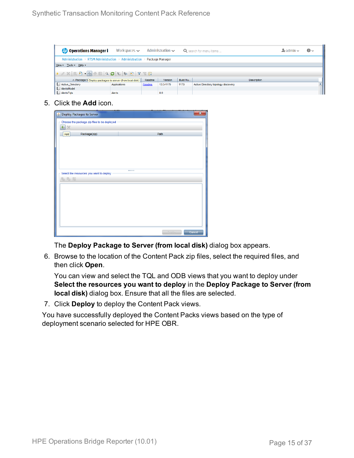| <b><i>OD</i></b> Operations Manager i                                   | Workspaces $\sim$ |        | Administration $\sim$ |          | Q search for menu items             | $\blacktriangle$ admin $\blacktriangleright$ | $\bullet$ |
|-------------------------------------------------------------------------|-------------------|--------|-----------------------|----------|-------------------------------------|----------------------------------------------|-----------|
| Administration > RTSM Administration > Administration > Package Manager |                   |        |                       |          |                                     |                                              |           |
| View - Tools - Help -                                                   |                   |        |                       |          |                                     |                                              |           |
|                                                                         |                   |        |                       |          |                                     |                                              |           |
| ≐ Package N Deploy packages to server (from local disk)                 |                   | Readme | Version               | Build Nu | <b>Description</b>                  |                                              |           |
| Active_Directory                                                        | Applications      | Readme | 13.0-1179             | 1179     | Active Directory topology discovery |                                              |           |
| AlertsModel                                                             |                   |        |                       |          |                                     |                                              |           |
| AlertsTqls                                                              | Alerts            |        | 8.0                   |          |                                     |                                              |           |

5. Click the **Add** icon.

| Deploy Packages to Server                   | $\overline{\mathbf{x}}$ |  |
|---------------------------------------------|-------------------------|--|
| Choose the package zip files to be deployed |                         |  |
| $\Phi_{\parallel}$<br>$\chi$                |                         |  |
| Package(zip)<br>Add                         | Path                    |  |
|                                             |                         |  |
|                                             |                         |  |
|                                             |                         |  |
|                                             |                         |  |
|                                             |                         |  |
| Select the resources you want to deploy     |                         |  |
| 名马路                                         |                         |  |
|                                             |                         |  |
|                                             |                         |  |
|                                             |                         |  |
|                                             |                         |  |
|                                             |                         |  |
|                                             |                         |  |
|                                             |                         |  |
|                                             | Deploy<br>Cancel        |  |

The **Deploy Package to Server (from local disk)** dialog box appears.

6. Browse to the location of the Content Pack zip files, select the required files, and then click **Open**.

You can view and select the TQL and ODB views that you want to deploy under **Select the resources you want to deploy** in the **Deploy Package to Server (from local disk)** dialog box. Ensure that all the files are selected.

7. Click **Deploy** to deploy the Content Pack views.

You have successfully deployed the Content Packs views based on the type of deployment scenario selected for HPE OBR.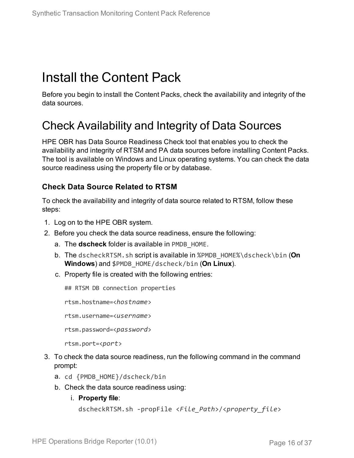## <span id="page-15-0"></span>Install the Content Pack

<span id="page-15-1"></span>Before you begin to install the Content Packs, check the availability and integrity of the data sources.

### Check Availability and Integrity of Data Sources

HPE OBR has Data Source Readiness Check tool that enables you to check the availability and integrity of RTSM and PA data sources before installing Content Packs. The tool is available on Windows and Linux operating systems. You can check the data source readiness using the property file or by database.

### **Check Data Source Related to RTSM**

To check the availability and integrity of data source related to RTSM, follow these steps:

- 1. Log on to the HPE OBR system.
- 2. Before you check the data source readiness, ensure the following:
	- a. The **dscheck** folder is available in PMDB\_HOME.
	- b. The dscheckRTSM.sh script is available in %PMDB\_HOME%\dscheck\bin (**On Windows**) and \$PMDB\_HOME/dscheck/bin (**On Linux**).
	- c. Property file is created with the following entries:

## RTSM DB connection properties

rtsm.hostname=<*hostname*>

rtsm.username=<*username*>

rtsm.password=<*password*>

```
rtsm.port=<port>
```
- 3. To check the data source readiness, run the following command in the command prompt:
	- a. cd {PMDB\_HOME}/dscheck/bin
	- b. Check the data source readiness using:
		- i. **Property file**:

```
dscheckRTSM.sh -propFile <File_Path>/<property_file>
```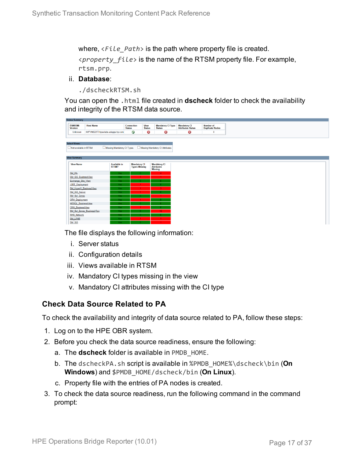where, <*File\_Path*> is the path where property file is created. <*property\_file*> is the name of the RTSM property file. For example, rtsm.prp.

#### ii. **Database**:

./dscheckRTSM.sh

You can open the .html file created in **dscheck** folder to check the availability and integrity of the RTSM data source.

| <b>Status Summary</b>            |                                   |                            |                             |                              |                                           |                                           |  |
|----------------------------------|-----------------------------------|----------------------------|-----------------------------|------------------------------|-------------------------------------------|-------------------------------------------|--|
| <b>BSM/OMi</b><br><b>Version</b> | <b>Host Name</b>                  |                            | Connection<br><b>Status</b> | <b>View</b><br><b>Status</b> | <b>Mandatory CI Type</b><br><b>Status</b> | <b>Mandatory CI<br/>Attributes Status</b> |  |
| Unknown                          | IWFVM02277.hpswlabs.adapps.hp.com |                            | Ø                           | ◶                            | ☺                                         | 0                                         |  |
|                                  |                                   |                            |                             |                              |                                           |                                           |  |
| <b>Select Views:</b>             |                                   |                            |                             |                              |                                           |                                           |  |
| Not available in RTSM            |                                   | Missing Mandatory CI Types |                             |                              | Missing Mandatory CI Attributes           |                                           |  |
|                                  |                                   |                            |                             |                              |                                           |                                           |  |
| <b>View Summary</b>              |                                   |                            |                             |                              |                                           |                                           |  |
|                                  |                                   |                            |                             |                              |                                           |                                           |  |
| <b>View Name</b>                 |                                   | <b>Available in</b>        | <b>Mandatory CI</b>         |                              | <b>Mandatory CI</b>                       |                                           |  |
|                                  |                                   | RTSM?                      | <b>Types Missing</b>        |                              | <b>Attributes</b><br><b>Missing</b>       |                                           |  |
| SM_PA                            |                                   | Yes.                       | $\mathbf{0}$                |                              | 4                                         |                                           |  |
| SM SiS BusinessView              |                                   | Yes:                       |                             |                              | $\blacktriangleleft$                      |                                           |  |
| Exchange Site View               |                                   | Yes:                       |                             |                              |                                           |                                           |  |
| J2EE_Deployment                  |                                   | Yes:                       |                             |                              |                                           |                                           |  |
| SM_HyperV_BusinessView           |                                   | Yes:                       |                             |                              |                                           |                                           |  |
| SM_SiS_Server                    |                                   | Yes                        |                             |                              |                                           |                                           |  |
| SM Sol Zones                     |                                   | Yes:                       |                             |                              |                                           |                                           |  |
| <b>ORA</b> Deployment            |                                   | Yes:                       |                             |                              |                                           |                                           |  |
| MSSQL BusinessView               |                                   | <b>Yes</b>                 |                             |                              |                                           |                                           |  |
| <b>ORA BusinessView</b>          |                                   | Yes:                       |                             |                              |                                           |                                           |  |
| SM Sol Zones BusinessView        |                                   | Yes:                       |                             |                              | 12                                        |                                           |  |
| <b>SHR Network</b>               |                                   | Yes:                       |                             |                              |                                           |                                           |  |
| <b>SM_LPAR</b>                   |                                   | Yes:                       |                             |                              | $\overline{1}$                            |                                           |  |
| SM SiS                           |                                   | Yes:                       |                             |                              |                                           |                                           |  |

The file displays the following information:

- i. Server status
- ii. Configuration details
- iii. Views available in RTSM
- iv. Mandatory CI types missing in the view
- v. Mandatory CI attributes missing with the CI type

### **Check Data Source Related to PA**

To check the availability and integrity of data source related to PA, follow these steps:

- 1. Log on to the HPE OBR system.
- 2. Before you check the data source readiness, ensure the following:
	- a. The **dscheck** folder is available in PMDB\_HOME.
	- b. The dscheckPA.sh script is available in %PMDB\_HOME%\dscheck\bin (**On Windows**) and \$PMDB\_HOME/dscheck/bin (**On Linux**).
	- c. Property file with the entries of PA nodes is created.
- 3. To check the data source readiness, run the following command in the command prompt: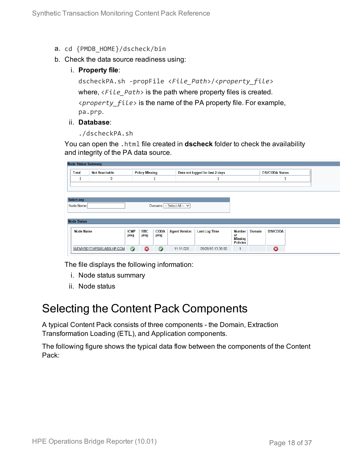- a. cd {PMDB\_HOME}/dscheck/bin
- b. Check the data source readiness using:
	- i. **Property file**:

```
dscheckPA.sh -propFile <File_Path>/<property_file>
where, <File_Path> is the path where property files is created.
<property_file> is the name of the PA property file. For example,
pa.prp.
```
#### ii. **Database**:

./dscheckPA.sh

You can open the .html file created in **dscheck** folder to check the availability and integrity of the PA data source.

| <b>Node Status Summary</b> |                           |             |                       |             |                             |                                 |                      |               |                        |  |
|----------------------------|---------------------------|-------------|-----------------------|-------------|-----------------------------|---------------------------------|----------------------|---------------|------------------------|--|
| <b>Total</b>               | <b>Not Reachable</b>      |             | <b>Policy Missing</b> |             |                             | Data not logged for last 2 days |                      |               | <b>DSi/CODA Status</b> |  |
| ∸                          | 0                         |             |                       | ᆚ           |                             |                                 |                      |               | ┹                      |  |
|                            |                           |             |                       |             |                             |                                 |                      |               |                        |  |
|                            |                           |             |                       |             |                             |                                 |                      |               |                        |  |
| <b>Select any</b>          |                           |             |                       |             |                             |                                 |                      |               |                        |  |
| Node Name:                 |                           |             |                       |             | Domains: -- Select All -- V |                                 |                      |               |                        |  |
|                            |                           |             |                       |             |                             |                                 |                      |               |                        |  |
|                            |                           |             |                       |             |                             |                                 |                      |               |                        |  |
| <b>Node Status</b>         |                           |             |                       |             |                             |                                 |                      |               |                        |  |
| <b>Node Name</b>           |                           | <b>ICMP</b> | <b>BBC</b>            | <b>CODA</b> | <b>Agent Version</b>        | <b>Last Log Time</b>            | Number               | <b>Domain</b> | <b>DSi/CODA</b>        |  |
|                            |                           | ping        | ping                  | ping        |                             |                                 | of<br><b>Missing</b> |               |                        |  |
|                            |                           |             |                       |             |                             |                                 | <b>Policies</b>      |               |                        |  |
|                            | IWFMVS017.HPSWLABS.HP.COM | $\bullet$   | $\boldsymbol{\Omega}$ | $\bullet$   | 11.11.025                   | 09/28/15 13:38:00               |                      |               | 0                      |  |
|                            |                           |             |                       |             |                             |                                 |                      |               |                        |  |

The file displays the following information:

- i. Node status summary
- ii. Node status

### <span id="page-17-0"></span>Selecting the Content Pack Components

A typical Content Pack consists of three components - the Domain, Extraction Transformation Loading (ETL), and Application components.

The following figure shows the typical data flow between the components of the Content Pack: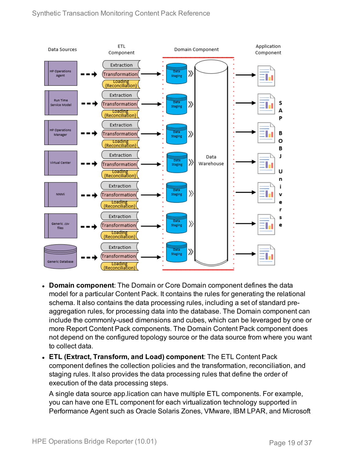

- **. Domain component:** The Domain or Core Domain component defines the data model for a particular Content Pack. It contains the rules for generating the relational schema. It also contains the data processing rules, including a set of standard preaggregation rules, for processing data into the database. The Domain component can include the commonly-used dimensions and cubes, which can be leveraged by one or more Report Content Pack components. The Domain Content Pack component does not depend on the configured topology source or the data source from where you want to collect data.
- <sup>l</sup> **ETL (Extract, Transform, and Load) component**: The ETL Content Pack component defines the collection policies and the transformation, reconciliation, and staging rules. It also provides the data processing rules that define the order of execution of the data processing steps.

A single data source app.lication can have multiple ETL components. For example, you can have one ETL component for each virtualization technology supported in Performance Agent such as Oracle Solaris Zones, VMware, IBM LPAR, and Microsoft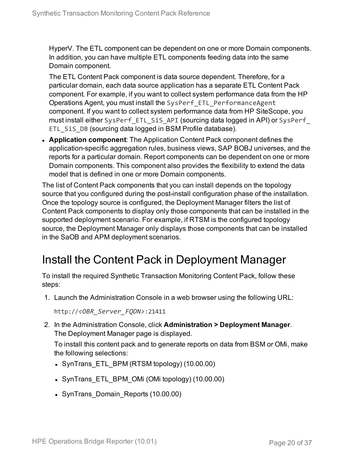HyperV. The ETL component can be dependent on one or more Domain components. In addition, you can have multiple ETL components feeding data into the same Domain component.

The ETL Content Pack component is data source dependent. Therefore, for a particular domain, each data source application has a separate ETL Content Pack component. For example, if you want to collect system performance data from the HP Operations Agent, you must install the SysPerf\_ETL\_PerformanceAgent component. If you want to collect system performance data from HP SiteScope, you must install either SysPerf\_ETL\_SiS\_API (sourcing data logged in API) or SysPerf\_ ETL\_SiS\_DB (sourcing data logged in BSM Profile database).

**Application component**: The Application Content Pack component defines the application-specific aggregation rules, business views, SAP BOBJ universes, and the reports for a particular domain. Report components can be dependent on one or more Domain components. This component also provides the flexibility to extend the data model that is defined in one or more Domain components.

The list of Content Pack components that you can install depends on the topology source that you configured during the post-install configuration phase of the installation. Once the topology source is configured, the Deployment Manager filters the list of Content Pack components to display only those components that can be installed in the supported deployment scenario. For example, if RTSM is the configured topology source, the Deployment Manager only displays those components that can be installed in the SaOB and APM deployment scenarios.

### <span id="page-19-0"></span>Install the Content Pack in Deployment Manager

To install the required Synthetic Transaction Monitoring Content Pack, follow these steps:

1. Launch the Administration Console in a web browser using the following URL:

http://*<OBR\_Server\_FQDN>*:21411

2. In the Administration Console, click **Administration > Deployment Manager**. The Deployment Manager page is displayed.

To install this content pack and to generate reports on data from BSM or OMi, make the following selections:

- SynTrans ETL BPM (RTSM topology) (10.00.00)
- SynTrans ETL BPM OMi (OMi topology) (10.00.00)
- SynTrans Domain Reports (10.00.00)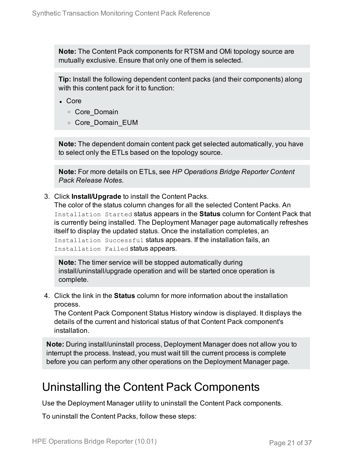**Note:** The Content Pack components for RTSM and OMi topology source are mutually exclusive. Ensure that only one of them is selected.

**Tip:** Install the following dependent content packs (and their components) along with this content pack for it to function:

- <sup>l</sup> Core
	- <sup>o</sup> Core\_Domain
	- <sup>o</sup> Core\_Domain\_EUM

**Note:** The dependent domain content pack get selected automatically, you have to select only the ETLs based on the topology source.

**Note:** For more details on ETLs, see *HP Operations Bridge Reporter Content Pack Release Notes*.

3. Click **Install/Upgrade** to install the Content Packs.

The color of the status column changes for all the selected Content Packs. An Installation Started status appears in the **Status** column for Content Pack that is currently being installed. The Deployment Manager page automatically refreshes itself to display the updated status. Once the installation completes, an Installation Successful status appears. If the installation fails, an Installation Failed status appears.

**Note:** The timer service will be stopped automatically during install/uninstall/upgrade operation and will be started once operation is complete.

4. Click the link in the **Status** column for more information about the installation process.

The Content Pack Component Status History window is displayed. It displays the details of the current and historical status of that Content Pack component's installation.

**Note:** During install/uninstall process, Deployment Manager does not allow you to interrupt the process. Instead, you must wait till the current process is complete before you can perform any other operations on the Deployment Manager page.

### <span id="page-20-0"></span>Uninstalling the Content Pack Components

Use the Deployment Manager utility to uninstall the Content Pack components.

To uninstall the Content Packs, follow these steps: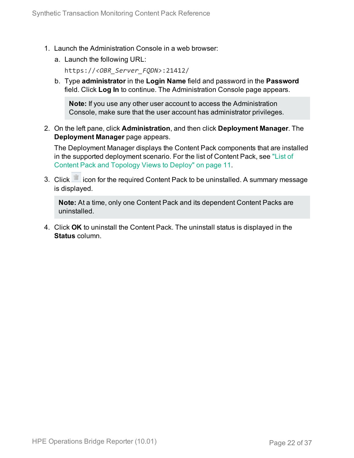- 1. Launch the Administration Console in a web browser:
	- a. Launch the following URL:

https://*<OBR\_Server\_FQDN>*:21412/

b. Type **administrator** in the **Login Name** field and password in the **Password** field. Click **Log In** to continue. The Administration Console page appears.

**Note:** If you use any other user account to access the Administration Console, make sure that the user account has administrator privileges.

2. On the left pane, click **Administration**, and then click **Deployment Manager**. The **Deployment Manager** page appears.

The Deployment Manager displays the Content Pack components that are installed in the supported deployment scenario. For the list of Content Pack, see ["List](#page-10-1) of Content Pack and [Topology](#page-10-1) Views to Deploy" on page 11.

3. Click icon for the required Content Pack to be uninstalled. A summary message is displayed.

**Note:** At a time, only one Content Pack and its dependent Content Packs are uninstalled.

4. Click **OK** to uninstall the Content Pack. The uninstall status is displayed in the **Status** column.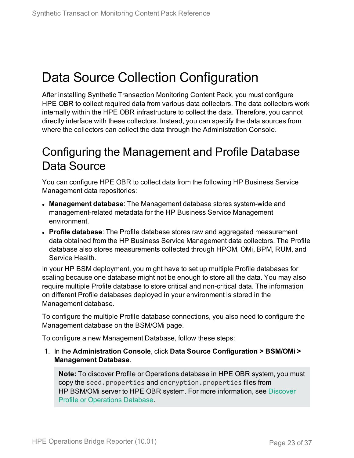## <span id="page-22-0"></span>Data Source Collection Configuration

After installing Synthetic Transaction Monitoring Content Pack, you must configure HPE OBR to collect required data from various data collectors. The data collectors work internally within the HPE OBR infrastructure to collect the data. Therefore, you cannot directly interface with these collectors. Instead, you can specify the data sources from where the collectors can collect the data through the Administration Console.

### <span id="page-22-1"></span>Configuring the Management and Profile Database Data Source

You can configure HPE OBR to collect data from the following HP Business Service Management data repositories:

- **Management database**: The Management database stores system-wide and management-related metadata for the HP Business Service Management environment.
- **Profile database**: The Profile database stores raw and aggregated measurement data obtained from the HP Business Service Management data collectors. The Profile database also stores measurements collected through HPOM, OMi, BPM, RUM, and Service Health.

In your HP BSM deployment, you might have to set up multiple Profile databases for scaling because one database might not be enough to store all the data. You may also require multiple Profile database to store critical and non-critical data. The information on different Profile databases deployed in your environment is stored in the Management database.

To configure the multiple Profile database connections, you also need to configure the Management database on the BSM/OMi page.

To configure a new Management Database, follow these steps:

1. In the **Administration Console**, click **Data Source Configuration > BSM/OMi > Management Database**.

**Note:** To discover Profile or Operations database in HPE OBR system, you must copy the seed.properties and encryption.properties files from HP BSM/OMi server to HPE OBR system. For more information, see [Discover](#page-29-0) Profile or [Operations](#page-29-0) Database.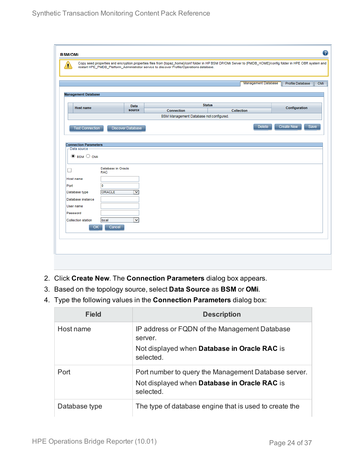| <b>Management Database</b>                                                                                           |                                  |                          |                                         |               | <b>Management Database</b> | <b>Profile Database</b>   |
|----------------------------------------------------------------------------------------------------------------------|----------------------------------|--------------------------|-----------------------------------------|---------------|----------------------------|---------------------------|
|                                                                                                                      |                                  |                          |                                         |               |                            |                           |
|                                                                                                                      |                                  |                          |                                         |               |                            |                           |
|                                                                                                                      |                                  |                          |                                         |               |                            |                           |
| <b>Host name</b>                                                                                                     |                                  | <b>Data</b>              |                                         | <b>Status</b> |                            | Configuration             |
|                                                                                                                      |                                  | source                   | <b>Connection</b>                       |               | <b>Collection</b>          |                           |
|                                                                                                                      |                                  |                          | BSM Management Database not configured. |               |                            |                           |
|                                                                                                                      |                                  |                          |                                         |               | <b>Delete</b>              | <b>Create New</b><br>Save |
| <b>Test Connection</b>                                                                                               |                                  | <b>Discover Database</b> |                                         |               |                            |                           |
|                                                                                                                      |                                  |                          |                                         |               |                            |                           |
|                                                                                                                      |                                  |                          |                                         |               |                            |                           |
| <b>Connection Parameters</b>                                                                                         |                                  |                          |                                         |               |                            |                           |
| Data source-                                                                                                         |                                  |                          |                                         |               |                            |                           |
|                                                                                                                      |                                  |                          |                                         |               |                            |                           |
|                                                                                                                      |                                  |                          |                                         |               |                            |                           |
| $\odot$ BSM $\odot$ OMi                                                                                              |                                  |                          |                                         |               |                            |                           |
|                                                                                                                      |                                  |                          |                                         |               |                            |                           |
|                                                                                                                      |                                  |                          |                                         |               |                            |                           |
| $\Box$                                                                                                               | Database in Oracle<br><b>RAC</b> |                          |                                         |               |                            |                           |
|                                                                                                                      |                                  |                          |                                         |               |                            |                           |
|                                                                                                                      |                                  |                          |                                         |               |                            |                           |
|                                                                                                                      | ۱o                               |                          |                                         |               |                            |                           |
|                                                                                                                      | <b>ORACLE</b>                    | $\checkmark$             |                                         |               |                            |                           |
|                                                                                                                      |                                  |                          |                                         |               |                            |                           |
|                                                                                                                      |                                  |                          |                                         |               |                            |                           |
|                                                                                                                      |                                  |                          |                                         |               |                            |                           |
|                                                                                                                      |                                  |                          |                                         |               |                            |                           |
|                                                                                                                      |                                  |                          |                                         |               |                            |                           |
|                                                                                                                      | local                            | $\overline{\mathbf{v}}$  |                                         |               |                            |                           |
|                                                                                                                      |                                  |                          |                                         |               |                            |                           |
| Host name<br>Port<br>Database type<br>Database instance<br>User name<br>Password<br><b>Collection station</b><br>OK. | Cancel                           |                          |                                         |               |                            |                           |

- 2. Click **Create New**. The **Connection Parameters** dialog box appears.
- 3. Based on the topology source, select **Data Source** as **BSM** or **OMi**.
- 4. Type the following values in the **Connection Parameters** dialog box:

| Field         | <b>Description</b>                                                                                                |
|---------------|-------------------------------------------------------------------------------------------------------------------|
| Host name     | IP address or FQDN of the Management Database<br>server.                                                          |
|               | Not displayed when <b>Database in Oracle RAC</b> is<br>selected.                                                  |
| Port          | Port number to query the Management Database server.<br>Not displayed when Database in Oracle RAC is<br>selected. |
| Database type | The type of database engine that is used to create the                                                            |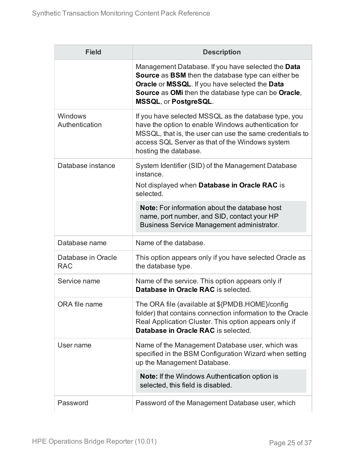| <b>Field</b>                     | <b>Description</b>                                                                                                                                                                                                                                              |
|----------------------------------|-----------------------------------------------------------------------------------------------------------------------------------------------------------------------------------------------------------------------------------------------------------------|
|                                  | Management Database. If you have selected the Data<br><b>Source</b> as <b>BSM</b> then the database type can either be<br>Oracle or MSSQL. If you have selected the Data<br><b>Source</b> as OMi then the database type can be Oracle,<br>MSSQL, or PostgreSQL. |
| Windows<br>Authentication        | If you have selected MSSQL as the database type, you<br>have the option to enable Windows authentication for<br>MSSQL, that is, the user can use the same credentials to<br>access SQL Server as that of the Windows system<br>hosting the database.            |
| Database instance                | System Identifier (SID) of the Management Database<br>instance.<br>Not displayed when Database in Oracle RAC is<br>selected.                                                                                                                                    |
|                                  | <b>Note:</b> For information about the database host<br>name, port number, and SID, contact your HP<br>Business Service Management administrator.                                                                                                               |
| Database name                    | Name of the database.                                                                                                                                                                                                                                           |
| Database in Oracle<br><b>RAC</b> | This option appears only if you have selected Oracle as<br>the database type.                                                                                                                                                                                   |
| Service name                     | Name of the service. This option appears only if<br>Database in Oracle RAC is selected.                                                                                                                                                                         |
| ORA file name                    | The ORA file (available at \${PMDB.HOME}/config<br>folder) that contains connection information to the Oracle<br>Real Application Cluster. This option appears only if<br>Database in Oracle RAC is selected.                                                   |
| User name                        | Name of the Management Database user, which was<br>specified in the BSM Configuration Wizard when setting<br>up the Management Database.                                                                                                                        |
|                                  | <b>Note:</b> If the Windows Authentication option is<br>selected, this field is disabled.                                                                                                                                                                       |
| Password                         | Password of the Management Database user, which                                                                                                                                                                                                                 |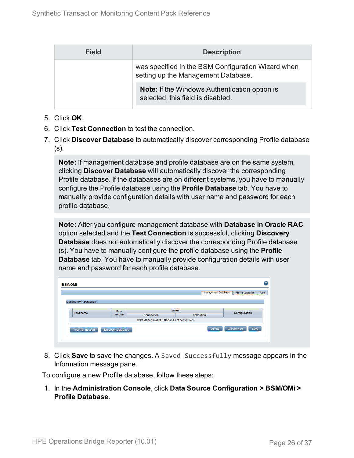| <b>Field</b> | <b>Description</b>                                                                        |
|--------------|-------------------------------------------------------------------------------------------|
|              | was specified in the BSM Configuration Wizard when<br>setting up the Management Database. |
|              | <b>Note:</b> If the Windows Authentication option is<br>selected, this field is disabled. |

- 5. Click **OK**.
- 6. Click **Test Connection** to test the connection.
- 7. Click **Discover Database** to automatically discover corresponding Profile database (s).

**Note:** If management database and profile database are on the same system, clicking **Discover Database** will automatically discover the corresponding Profile database. If the databases are on different systems, you have to manually configure the Profile database using the **Profile Database** tab. You have to manually provide configuration details with user name and password for each profile database.

**Note:** After you configure management database with **Database in Oracle RAC** option selected and the **Test Connection** is successful, clicking **Discovery Database** does not automatically discover the corresponding Profile database (s). You have to manually configure the profile database using the **Profile Database** tab. You have to manually provide configuration details with user name and password for each profile database.

| <b>BSM/OMi</b>             |                   |                                         |                   |                            | Q                              |  |
|----------------------------|-------------------|-----------------------------------------|-------------------|----------------------------|--------------------------------|--|
|                            |                   |                                         |                   | <b>Management Database</b> | <b>Profile Database</b><br>OMi |  |
| <b>Management Database</b> |                   |                                         |                   |                            |                                |  |
| Data<br><b>Host name</b>   |                   | <b>Status</b>                           |                   |                            | <b>Configuration</b>           |  |
|                            | source            | <b>Connection</b>                       | <b>Collection</b> |                            |                                |  |
|                            |                   | BSM Management Database not configured. |                   |                            |                                |  |
| <b>Test Connection</b>     | Discover Database |                                         |                   | <b>Delete</b>              | <b>Create New</b><br>Save      |  |
|                            |                   |                                         |                   |                            |                                |  |

8. Click **Save** to save the changes. A Saved Successfully message appears in the Information message pane.

To configure a new Profile database, follow these steps:

1. In the **Administration Console**, click **Data Source Configuration > BSM/OMi > Profile Database**.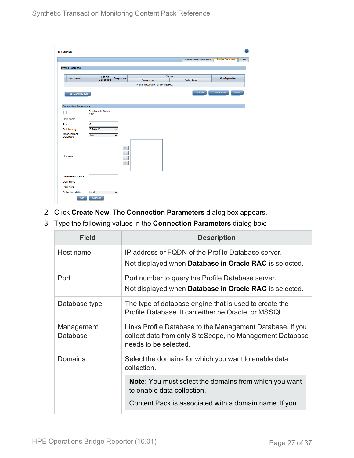| Management Database<br><b>Status</b><br>Enable<br><b>Host name</b><br>Frequency<br><b>Collection</b><br><b>Collection</b><br><b>Connection</b><br>Profile database not configured.<br><b>Create New</b><br><b>Delete</b><br><b>Test Connection</b><br>Database in Oracle<br><b>RAC</b><br>o<br>$\overline{\mathsf{v}}$<br>ORACLE<br>-NA-<br>$\overline{\mathsf{v}}$<br>DH. | <b>Profile Database</b><br>Configuration |
|----------------------------------------------------------------------------------------------------------------------------------------------------------------------------------------------------------------------------------------------------------------------------------------------------------------------------------------------------------------------------|------------------------------------------|
| <b>Profile Database</b><br><b>Connection Parameters</b><br>□<br>Host name<br>Port<br>Database type<br>Management<br><b>Database</b><br><b>Domains</b>                                                                                                                                                                                                                      |                                          |
|                                                                                                                                                                                                                                                                                                                                                                            |                                          |
|                                                                                                                                                                                                                                                                                                                                                                            |                                          |
|                                                                                                                                                                                                                                                                                                                                                                            |                                          |
|                                                                                                                                                                                                                                                                                                                                                                            |                                          |
|                                                                                                                                                                                                                                                                                                                                                                            |                                          |
|                                                                                                                                                                                                                                                                                                                                                                            | Save                                     |
|                                                                                                                                                                                                                                                                                                                                                                            |                                          |
|                                                                                                                                                                                                                                                                                                                                                                            |                                          |
|                                                                                                                                                                                                                                                                                                                                                                            |                                          |
|                                                                                                                                                                                                                                                                                                                                                                            |                                          |
|                                                                                                                                                                                                                                                                                                                                                                            |                                          |
|                                                                                                                                                                                                                                                                                                                                                                            |                                          |
|                                                                                                                                                                                                                                                                                                                                                                            |                                          |
|                                                                                                                                                                                                                                                                                                                                                                            |                                          |
|                                                                                                                                                                                                                                                                                                                                                                            |                                          |
|                                                                                                                                                                                                                                                                                                                                                                            |                                          |
|                                                                                                                                                                                                                                                                                                                                                                            |                                          |
|                                                                                                                                                                                                                                                                                                                                                                            |                                          |
|                                                                                                                                                                                                                                                                                                                                                                            |                                          |
|                                                                                                                                                                                                                                                                                                                                                                            |                                          |
| $\mathbb{H}$                                                                                                                                                                                                                                                                                                                                                               |                                          |
|                                                                                                                                                                                                                                                                                                                                                                            |                                          |
|                                                                                                                                                                                                                                                                                                                                                                            |                                          |
| Database instance                                                                                                                                                                                                                                                                                                                                                          |                                          |
|                                                                                                                                                                                                                                                                                                                                                                            |                                          |
| User name                                                                                                                                                                                                                                                                                                                                                                  |                                          |
| Password<br>⊽                                                                                                                                                                                                                                                                                                                                                              |                                          |

- 2. Click **Create New**. The **Connection Parameters** dialog box appears.
- 3. Type the following values in the **Connection Parameters** dialog box:

| <b>Field</b>           | <b>Description</b>                                                                                                                             |
|------------------------|------------------------------------------------------------------------------------------------------------------------------------------------|
| Host name              | IP address or FQDN of the Profile Database server.<br>Not displayed when <b>Database in Oracle RAC</b> is selected.                            |
| Port                   | Port number to query the Profile Database server.<br>Not displayed when <b>Database in Oracle RAC</b> is selected.                             |
| Database type          | The type of database engine that is used to create the<br>Profile Database. It can either be Oracle, or MSSQL.                                 |
| Management<br>Database | Links Profile Database to the Management Database. If you<br>collect data from only SiteScope, no Management Database<br>needs to be selected. |
| Domains                | Select the domains for which you want to enable data<br>collection.                                                                            |
|                        | <b>Note:</b> You must select the domains from which you want<br>to enable data collection.                                                     |
|                        | Content Pack is associated with a domain name. If you                                                                                          |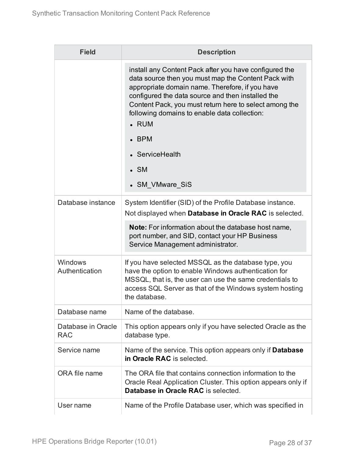| <b>Field</b>                     | <b>Description</b>                                                                                                                                                                                                                                                                                                                                                                                               |
|----------------------------------|------------------------------------------------------------------------------------------------------------------------------------------------------------------------------------------------------------------------------------------------------------------------------------------------------------------------------------------------------------------------------------------------------------------|
|                                  | install any Content Pack after you have configured the<br>data source then you must map the Content Pack with<br>appropriate domain name. Therefore, if you have<br>configured the data source and then installed the<br>Content Pack, you must return here to select among the<br>following domains to enable data collection:<br>$\cdot$ RUM<br><b>BPM</b><br>ServiceHealth<br>$\bullet$ SM<br>• SM VMware SiS |
| Database instance                | System Identifier (SID) of the Profile Database instance.                                                                                                                                                                                                                                                                                                                                                        |
|                                  | Not displayed when Database in Oracle RAC is selected.                                                                                                                                                                                                                                                                                                                                                           |
|                                  | Note: For information about the database host name,<br>port number, and SID, contact your HP Business<br>Service Management administrator.                                                                                                                                                                                                                                                                       |
| Windows<br>Authentication        | If you have selected MSSQL as the database type, you<br>have the option to enable Windows authentication for<br>MSSQL, that is, the user can use the same credentials to<br>access SQL Server as that of the Windows system hosting<br>the database.                                                                                                                                                             |
| Database name                    | Name of the database.                                                                                                                                                                                                                                                                                                                                                                                            |
| Database in Oracle<br><b>RAC</b> | This option appears only if you have selected Oracle as the<br>database type.                                                                                                                                                                                                                                                                                                                                    |
| Service name                     | Name of the service. This option appears only if <b>Database</b><br>in Oracle RAC is selected.                                                                                                                                                                                                                                                                                                                   |
| ORA file name                    | The ORA file that contains connection information to the<br>Oracle Real Application Cluster. This option appears only if<br>Database in Oracle RAC is selected.                                                                                                                                                                                                                                                  |
| User name                        | Name of the Profile Database user, which was specified in                                                                                                                                                                                                                                                                                                                                                        |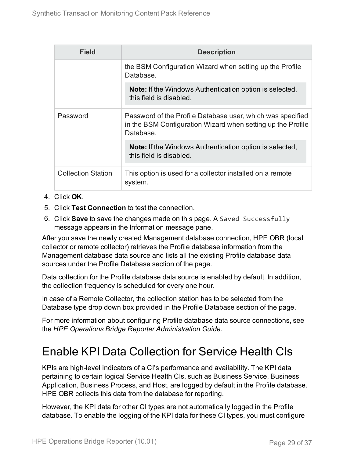| Field                     | <b>Description</b>                                                                                                                     |
|---------------------------|----------------------------------------------------------------------------------------------------------------------------------------|
|                           | the BSM Configuration Wizard when setting up the Profile<br>Database.                                                                  |
|                           | <b>Note:</b> If the Windows Authentication option is selected,<br>this field is disabled.                                              |
| Password                  | Password of the Profile Database user, which was specified<br>in the BSM Configuration Wizard when setting up the Profile<br>Database. |
|                           | <b>Note:</b> If the Windows Authentication option is selected,<br>this field is disabled.                                              |
| <b>Collection Station</b> | This option is used for a collector installed on a remote<br>system.                                                                   |

- 4. Click **OK**.
- 5. Click **Test Connection** to test the connection.
- 6. Click **Save** to save the changes made on this page. A Saved Successfully message appears in the Information message pane.

After you save the newly created Management database connection, HPE OBR (local collector or remote collector) retrieves the Profile database information from the Management database data source and lists all the existing Profile database data sources under the Profile Database section of the page.

Data collection for the Profile database data source is enabled by default. In addition, the collection frequency is scheduled for every one hour.

In case of a Remote Collector, the collection station has to be selected from the Database type drop down box provided in the Profile Database section of the page.

For more information about configuring Profile database data source connections, see the *HPE Operations Bridge Reporter Administration Guide*.

## Enable KPI Data Collection for Service Health CIs

KPIs are high-level indicators of a CI's performance and availability. The KPI data pertaining to certain logical Service Health CIs, such as Business Service, Business Application, Business Process, and Host, are logged by default in the Profile database. HPE OBR collects this data from the database for reporting.

However, the KPI data for other CI types are not automatically logged in the Profile database. To enable the logging of the KPI data for these CI types, you must configure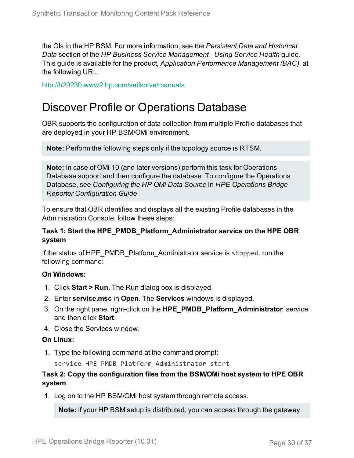the CIs in the HP BSM. For more information, see the *Persistent Data and Historical Data* section of the *HP Business Service Management - Using Service Health* guide. This guide is available for the product, *Application Performance Management (BAC)*, at the following URL:

<span id="page-29-0"></span><http://h20230.www2.hp.com/selfsolve/manuals>

### Discover Profile or Operations Database

OBR supports the configuration of data collection from multiple Profile databases that are deployed in your HP BSM/OMi environment.

**Note:** Perform the following steps only if the topology source is RTSM.

**Note:** In case of OMi 10 (and later versions) perform this task for Operations Database support and then configure the database. To configure the Operations Database, see *Configuring the HP OMi Data Source* in *HPE Operations Bridge Reporter Configuration Guide*.

To ensure that OBR identifies and displays all the existing Profile databases in the Administration Console, follow these steps:

#### **Task 1: Start the HPE\_PMDB\_Platform\_Administrator service on the HPE OBR system**

If the status of HPE\_PMDB\_Platform\_Administrator service is stopped, run the following command:

#### **On Windows:**

- 1. Click **Start > Run**. The Run dialog box is displayed.
- 2. Enter **service.msc** in **Open**. The **Services** windows is displayed.
- 3. On the right pane, right-click on the **HPE\_PMDB\_Platform\_Administrator** service and then click **Start**.
- 4. Close the Services window.

### **On Linux:**

1. Type the following command at the command prompt:

service HPE\_PMDB\_Platform\_Administrator start

### **Task 2: Copy the configuration files from the BSM/OMi host system to HPE OBR system**

1. Log on to the HP BSM/OMi host system through remote access.

**Note:** If your HP BSM setup is distributed, you can access through the gateway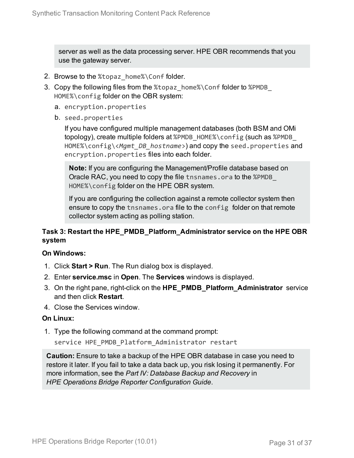server as well as the data processing server. HPE OBR recommends that you use the gateway server.

- 2. Browse to the %topaz\_home%\Conf folder.
- 3. Copy the following files from the %topaz\_home%\Conf folder to %PMDB\_ HOME%\config folder on the OBR system:
	- a. encryption.properties
	- b. seed.properties

If you have configured multiple management databases (both BSM and OMi topology), create multiple folders at %PMDB\_HOME%\config (such as %PMDB HOME%\config\<*Mgmt\_DB\_hostname*>) and copy the seed.properties and encryption.properties files into each folder.

**Note:** If you are configuring the Management/Profile database based on Oracle RAC, you need to copy the file tnsnames.ora to the %PMDB\_ HOME%\config folder on the HPE OBR system.

If you are configuring the collection against a remote collector system then ensure to copy the tnsnames.ora file to the config folder on that remote collector system acting as polling station.

### **Task 3: Restart the HPE\_PMDB\_Platform\_Administrator service on the HPE OBR system**

### **On Windows:**

- 1. Click **Start > Run**. The Run dialog box is displayed.
- 2. Enter **service.msc** in **Open**. The **Services** windows is displayed.
- 3. On the right pane, right-click on the **HPE\_PMDB\_Platform\_Administrator** service and then click **Restart**.
- 4. Close the Services window.

### **On Linux:**

1. Type the following command at the command prompt:

service HPE\_PMDB\_Platform\_Administrator restart

**Caution:** Ensure to take a backup of the HPE OBR database in case you need to restore it later. If you fail to take a data back up, you risk losing it permanently. For more information, see the *Part IV: Database Backup and Recovery* in *HPE Operations Bridge Reporter Configuration Guide*.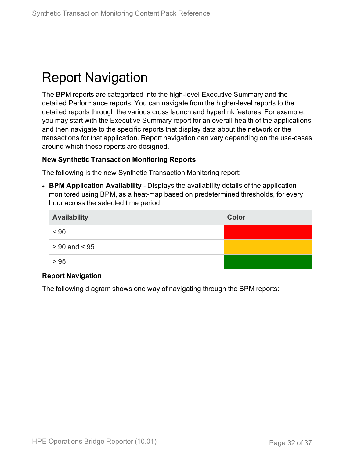## <span id="page-31-0"></span>Report Navigation

The BPM reports are categorized into the high-level Executive Summary and the detailed Performance reports. You can navigate from the higher-level reports to the detailed reports through the various cross launch and hyperlink features. For example, you may start with the Executive Summary report for an overall health of the applications and then navigate to the specific reports that display data about the network or the transactions for that application. Report navigation can vary depending on the use-cases around which these reports are designed.

#### **New Synthetic Transaction Monitoring Reports**

The following is the new Synthetic Transaction Monitoring report:

<sup>l</sup> **BPM Application Availability** - Displays the availability details of the application monitored using BPM, as a heat-map based on predetermined thresholds, for every hour across the selected time period.

| <b>Availability</b> | <b>Color</b> |
|---------------------|--------------|
| < 90                |              |
| $> 90$ and $< 95$   |              |
| > 95                |              |

### **Report Navigation**

The following diagram shows one way of navigating through the BPM reports: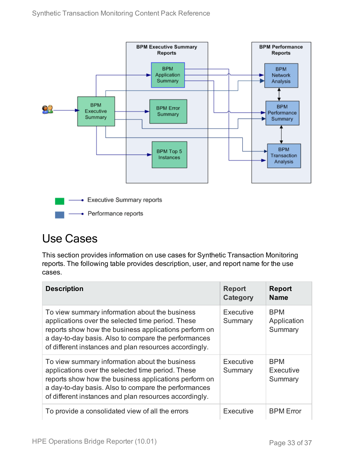

### <span id="page-32-0"></span>Use Cases

This section provides information on use cases for Synthetic Transaction Monitoring reports. The following table provides description, user, and report name for the use cases.

| <b>Description</b>                                                                                                                                                                                                                                                             | <b>Report</b><br>Category | <b>Report</b><br><b>Name</b>         |
|--------------------------------------------------------------------------------------------------------------------------------------------------------------------------------------------------------------------------------------------------------------------------------|---------------------------|--------------------------------------|
| To view summary information about the business<br>applications over the selected time period. These<br>reports show how the business applications perform on<br>a day-to-day basis. Also to compare the performances<br>of different instances and plan resources accordingly. | Executive<br>Summary      | <b>BPM</b><br>Application<br>Summary |
| To view summary information about the business<br>applications over the selected time period. These<br>reports show how the business applications perform on<br>a day-to-day basis. Also to compare the performances<br>of different instances and plan resources accordingly. | Executive<br>Summary      | <b>BPM</b><br>Executive<br>Summary   |
| To provide a consolidated view of all the errors                                                                                                                                                                                                                               | Executive                 | <b>BPM</b> Error                     |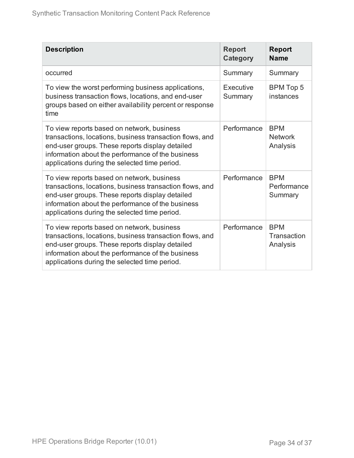| <b>Description</b>                                                                                                                                                                                                                                              | <b>Report</b><br><b>Category</b> | <b>Report</b><br><b>Name</b>             |
|-----------------------------------------------------------------------------------------------------------------------------------------------------------------------------------------------------------------------------------------------------------------|----------------------------------|------------------------------------------|
| occurred                                                                                                                                                                                                                                                        | Summary                          | Summary                                  |
| To view the worst performing business applications,<br>business transaction flows, locations, and end-user<br>groups based on either availability percent or response<br>time                                                                                   | Executive<br>Summary             | <b>BPM Top 5</b><br>instances            |
| To view reports based on network, business<br>transactions, locations, business transaction flows, and<br>end-user groups. These reports display detailed<br>information about the performance of the business<br>applications during the selected time period. | Performance                      | <b>BPM</b><br><b>Network</b><br>Analysis |
| To view reports based on network, business<br>transactions, locations, business transaction flows, and<br>end-user groups. These reports display detailed<br>information about the performance of the business<br>applications during the selected time period. | Performance                      | <b>BPM</b><br>Performance<br>Summary     |
| To view reports based on network, business<br>transactions, locations, business transaction flows, and<br>end-user groups. These reports display detailed<br>information about the performance of the business<br>applications during the selected time period. | Performance                      | <b>BPM</b><br>Transaction<br>Analysis    |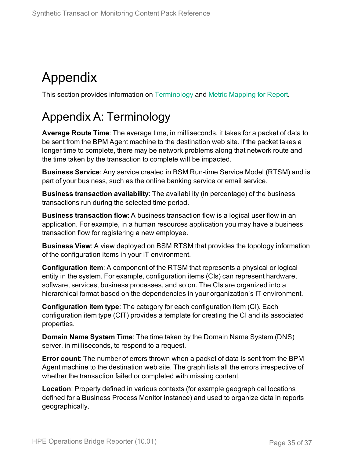# <span id="page-34-0"></span>Appendix

<span id="page-34-1"></span>This section provides information on [Terminology](#page-34-1) and Metric [Mapping](#page-35-0) for Report.

## Appendix A: Terminology

**Average Route Time**: The average time, in milliseconds, it takes for a packet of data to be sent from the BPM Agent machine to the destination web site. If the packet takes a longer time to complete, there may be network problems along that network route and the time taken by the transaction to complete will be impacted.

**Business Service**: Any service created in BSM Run-time Service Model (RTSM) and is part of your business, such as the online banking service or email service.

**Business transaction availability**: The availability (in percentage) of the business transactions run during the selected time period.

**Business transaction flow**: A business transaction flow is a logical user flow in an application. For example, in a human resources application you may have a business transaction flow for registering a new employee.

**Business View**: A view deployed on BSM RTSM that provides the topology information of the configuration items in your IT environment.

**Configuration item**: A component of the RTSM that represents a physical or logical entity in the system. For example, configuration items (CIs) can represent hardware, software, services, business processes, and so on. The CIs are organized into a hierarchical format based on the dependencies in your organization's IT environment.

**Configuration item type**: The category for each configuration item (CI). Each configuration item type (CIT) provides a template for creating the CI and its associated properties.

**Domain Name System Time**: The time taken by the Domain Name System (DNS) server, in milliseconds, to respond to a request.

**Error count**: The number of errors thrown when a packet of data is sent from the BPM Agent machine to the destination web site. The graph lists all the errors irrespective of whether the transaction failed or completed with missing content.

**Location**: Property defined in various contexts (for example geographical locations defined for a Business Process Monitor instance) and used to organize data in reports geographically.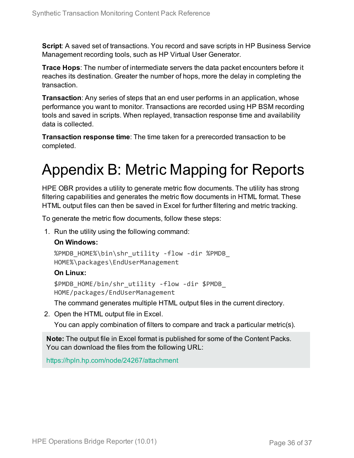**Script**: A saved set of transactions. You record and save scripts in HP Business Service Management recording tools, such as HP Virtual User Generator.

**Trace Hops**: The number of intermediate servers the data packet encounters before it reaches its destination. Greater the number of hops, more the delay in completing the transaction.

**Transaction**: Any series of steps that an end user performs in an application, whose performance you want to monitor. Transactions are recorded using HP BSM recording tools and saved in scripts. When replayed, transaction response time and availability data is collected.

<span id="page-35-0"></span>**Transaction response time**: The time taken for a prerecorded transaction to be completed.

# Appendix B: Metric Mapping for Reports

HPE OBR provides a utility to generate metric flow documents. The utility has strong filtering capabilities and generates the metric flow documents in HTML format. These HTML output files can then be saved in Excel for further filtering and metric tracking.

To generate the metric flow documents, follow these steps:

1. Run the utility using the following command:

### **On Windows:**

%PMDB\_HOME%\bin\shr\_utility -flow -dir %PMDB\_ HOME%\packages\EndUserManagement

### **On Linux:**

\$PMDB\_HOME/bin/shr\_utility -flow -dir \$PMDB\_ HOME/packages/EndUserManagement

The command generates multiple HTML output files in the current directory.

2. Open the HTML output file in Excel.

You can apply combination of filters to compare and track a particular metric(s).

**Note:** The output file in Excel format is published for some of the Content Packs. You can download the files from the following URL:

<https://hpln.hp.com/node/24267/attachment>